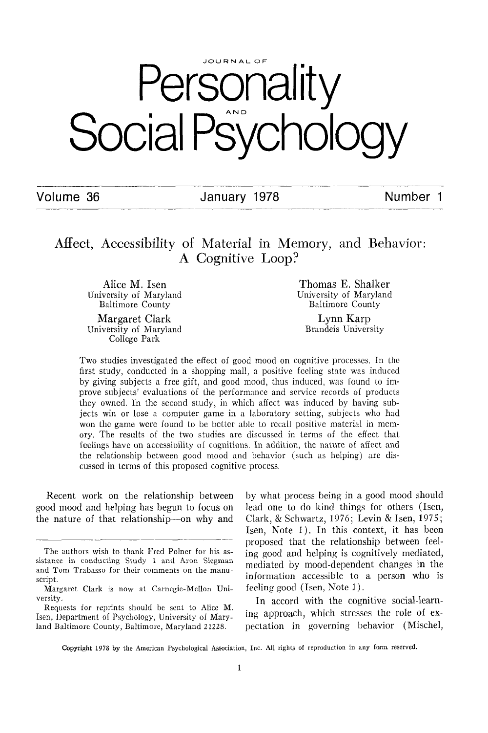# **JOU R N AL OF ersonality** ocia

Volume 36 January 1978 Number 1

# Affect, Accessibility of Material in Memory, and Behavior: A Cognitive Loop?

Alice M. Isen University of Maryland Baltimore County

Margaret Clark University of Maryland College Park

Thomas *E.* Shalker University of Maryland Baltimore County

Lynn Karp Brandeis University

Two studies investigated the effect of good mood on cognitive processes. In the first study, conducted in a shopping mall, a positive feeling state was induced by giving subjects a free gift, and good mood, thus induced, was found to improve subjects' evaluations of the performance and service records of products they owned. In the second study, in which affect was induced by having subjects win or lose a computer game in a laboratory setting, subjects who had won the game were found to be better able to recall positive material in memory. The results of the two studies are discussed in terms of the effect that feelings have on accessibility of cognitions. In addition, the nature of affect and the relationship between good mood and behavior (such as helping) are discussed in terms of this proposed cognitive process.

Recent work on the relationship between good mood and helping has begun to focus on the nature of that relationship—on why and

Requests for reprints should be sent to Alice M. Isen, Department of Psychology, University of Maryland Baltimore County, Baltimore, Maryland 21228.

by what process being in a good mood should lead one to do kind things for others (Isen, Clark, & Schwartz, 1976; Levin & Isen, 1975; Isen, Note 1). In this context, it has been proposed that the relationship between feeling good and helping is cognitively mediated, mediated by mood-dependent changes in the information accessible to a person who is feeling good (Isen, Note 1).

In accord with the cognitive social-learning approach, which stresses the role of expectation in governing behavior (Mischel,

The authors wish to thank Fred Polner for his assistance in conducting Study 1 and Aron Siegman and Tom Trabasso for their comments on the manuscript.

Margaret Clark is now at Carnegie-Mellon University.

Copyright 1978 by the American Psychological Association, Inc. All rights of reproduction in any form reserved.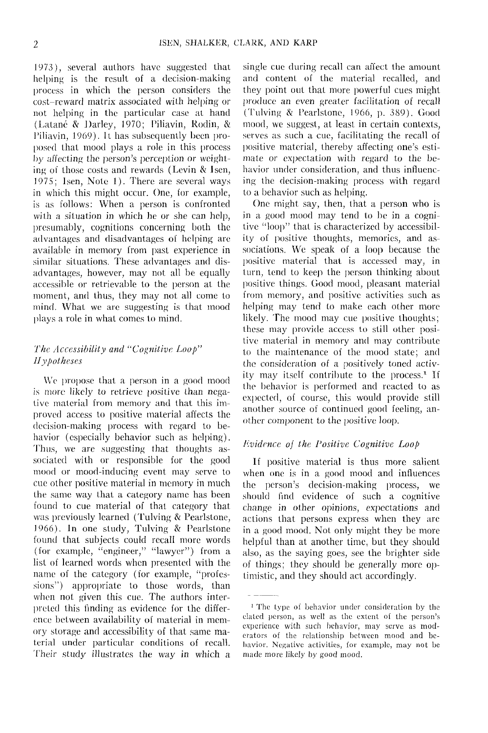1973), several authors have suggested that helping is the result of a decision-making process in which the person considers the cost-reward matrix associated with helping or not helping in the particular case at hand (Latane & J)arley, 1970; Piliavin, Rodin, & Piliavin, 1969). It has subsequently been proposed that mood plays a role in this process by affecting the person's perception or weighting of those costs and rewards (Levin & Jsen, 1975; Isen, Note 1). There are several ways in which this might occur. One, for example, is as follows: When a person is confronted with a situation in which he or she can help, presumably, cognitions concerning both the advantages and disadvantages of helping are available in memory from past experience in similar situations. These advantages and disadvantages, however, may not all be equally accessible or retrievable to the person at the moment, and thus, they may not all come to mind. What we are suggesting is that mood plays a role in what comes to mind.

# *The Accessibility and "Cognitive, Loop" Hypotheses*

We propose that a person in a good mood is more likely to retrieve positive than negative material from memory and that this improved access to positive material affects the decision-making process with regard to behavior (especially behavior such as helping). Thus, we are suggesting that thoughts associated with or responsible for the good mood or mood-inducing event may serve to cue other positive material in memory in much the same way that a category name has been found to cue material of that category that was previously learned (Tulving & Pearlstone, 1966). In one study, Tulving & Pearlstone found that subjects could recall more words (for example, "engineer," "lawyer") from a list of learned words when presented with the name of the category (for example, "professions'') appropriate to those words, than when not given this cue. The authors interpreted this finding as evidence for the difference between availability of material in memory storage and accessibility of that same material under particular conditions of recall. Their study illustrates the way in which a

single cue during recall can affect the amount and content of the material recalled, and they point out that more powerful cues might produce an even greater facilitation of recall (Tulving & Pearlstone, 1966, p. 389). Good mood, we suggest, at least in certain contexts, serves as such a cue, facilitating the recall of positive material, thereby affecting one's estimate or expectation with regard to the behavior under consideration, and thus influencing the decision-making process with regard to a behavior such as helping.

One might say, then, that a person who is in a good mood may tend to be in a cognitive "loop" that is characterized by accessibility of positive thoughts, memories, and associations. We speak of a loop because the positive material that is accessed may, in turn, tend to keep the person thinking about positive things. Good mood, pleasant material from memory, and positive activities such as helping may tend to make each other more likely. The mood may cue positive thoughts; these may provide access to still other positive material in memory and may contribute to the maintenance of the mood state; and the consideration of a positively toned activity may itself contribute to the process.<sup>1</sup> If the behavior is performed and reacted to as expected, of course, this would provide still another source of continued good feeling, another component to the positive loop.

#### *Evidence oj the. Positive, Cognitive Loop*

If positive material is thus more salient when one is in a good mood and influences the person's decision-making process, we should find evidence of such a cognitive change in other opinions, expectations and actions that persons express when they are in a good mood. Not only might they be more helpful than at another time, but they should also, as the saying goes, see the brighter side of things; they should be generally more optimistic, and they should act accordingly.

<sup>1</sup> The type of behavior under consideration by the elated person, as well as the extent of the person's experience with such behavior, may serve as moderators of the relationship between mood and behavior. Negative activities, for example, may not be made more likely by good mood.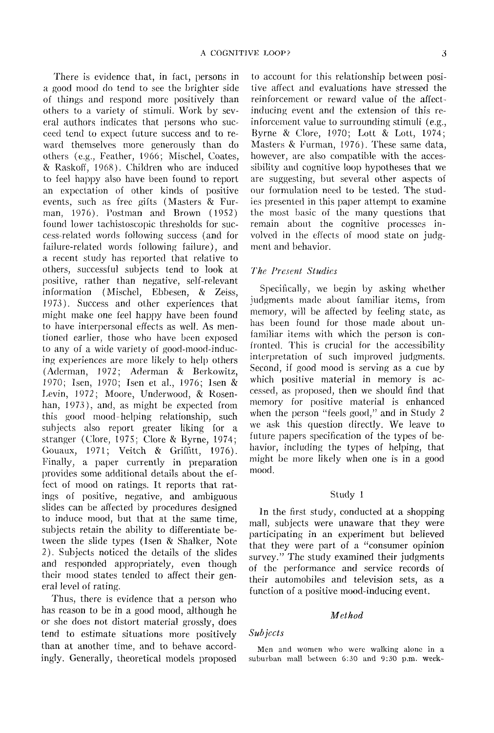There is evidence that, in fact, persons in a good mood do tend to see the brighter side of things and respond more positively than others to a variety of stimuli. Work by several authors indicates that persons who succeed tend to expect future success and to reward themselves more generously than do others (e.g., Feather, 1966; Mischel, Coates, *&* Raskoff, 1968). Children who are induced to feel happy also have been found to report an expectation of other kinds of positive events, such as free gifts (Masters & Furman, 1976). Postman and Brown (19S2) found lower tachistoscopic thresholds for success-related words following success (and for failure-related words following failure), and a recent study has reported that relative to others, successful subjects tend to look at positive, rather than negative, self-relevant information (Mischel, Ebbesen, & Zeiss, 1973). Success and other experiences that might make one feel happy have been found to have interpersonal effects as well. As mentioned earlier, those who have been exposed to any of a wide variety of good-mood-inducing experiences are more likely to help others (Aderman, 1972; Aderman & Berkowitz, 1970; Isen, 1970; Isen et al., 1976; Isen & Levin, 1972; Moore, Underwood, & Rosenhan, 1973), and, as might be expected from this good mood-helping relationship, such subjects also report greater liking for a stranger (Clore, 1975; Clore & Byrne, 1974; Gouaux, 1971; Veitch & Griffitt, 1976). Finally, a paper currently in preparation provides some additional details about the effect of mood on ratings. It reports that ratings of positive, negative, and ambiguous slides can be affected by procedures designed to induce mood, but that at the same time, subjects retain the ability to differentiate between the slide types (Isen & Shalker, Note 2). Subjects noticed the details of the slides and responded appropriately, even though their mood states tended to affect their general level of rating.

Thus, there is evidence that a person who has reason to be in a good mood, although he or she does not distort material grossly, does tend to estimate situations more positively than at another time, and to behave accordingly. Generally, theoretical models proposed to account for this relationship between positive affect and evaluations have stressed the reinforcement or reward value of the affectinducing event and the extension of this reinforcement value to surrounding stimuli (e.g., Byrne & Clore, 1970; Lott & Lott, 1974; Masters & Furman, 1976). These same data, however, arc also compatible with the accessibility and cognitive loop hypotheses that we are suggesting, but several other aspects of our formulation need to be tested. The studies presented in this paper attempt to examine the most basic of the many questions that remain about the cognitive processes involved in the effects of mood state on judgment and behavior.

#### *The Present Studies*

Specifically, we begin by asking whether judgments made about familiar items, from memory, will be affected by feeling state, as has been found for those made about unfamiliar items with which the person is confronted. This is crucial for the accessibility interpretation of such improved judgments. Second, if good mood is serving as a cue by which positive material in memory is accessed, as proposed, then we should find that memory for positive material is enhanced when the person "feels good," and in Study 2 we ask this question directly. We leave to future papers specification of the types of behavior, including the types of helping, that might be more likely when one is in a good mood.

#### Study 1

In the first study, conducted at a shopping mall, subjects were unaware that they were participating in an experiment but believed that they were part of a "consumer opinion survey." The study examined their judgments of the performance and service records of their automobiles and television sets, as a function of a positive mood-inducing event.

#### *Method*

#### *Subjects*

Men and women who were walking alone in a suburban mall between 6:30 and 9:30 p.m. week-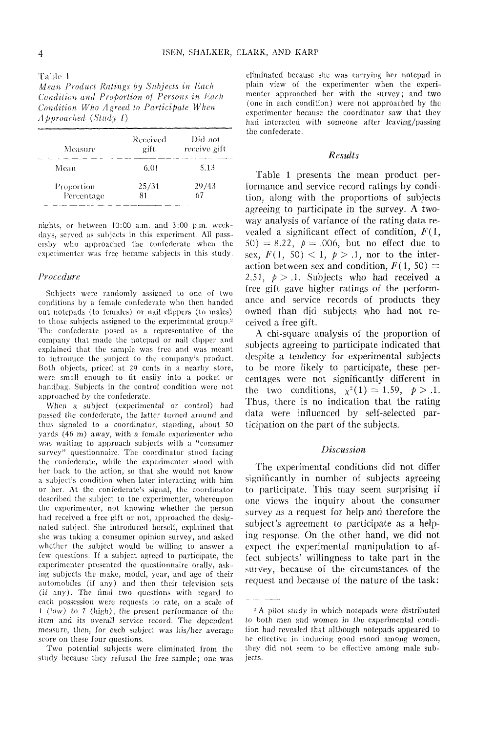4

Table 1

*Mean Product Ratings by Subjects in Ilacli Condition and Proportion of Persons in Each Condition Who Agreed to Participate When Approached (Study I)*

| Measure                  | Received<br>gift | Did not<br>receive gift<br>5.13 |  |
|--------------------------|------------------|---------------------------------|--|
| Mean                     | 6.01             |                                 |  |
| Proportion<br>Percentage | 25/31<br>81      | 29/43<br>67                     |  |

nights, or between 10:00 a.m. and 3:00 p.m. weekdays, served as subjects in this experiment. All passersby who approached the confederate when the experimenter was free became subjects in this study,

#### *Procedure*

Subjects were randomly assigned to one of two conditions by a female confederate who then handed out notepads (to females) or nail clippers (to males) to those subjects assigned to the experimental group. $2$ The confederate posed as a representative of the company that made the notepad or nail clipper and explained that the sample was free and was meant to introduce the subject to the company's product. Both objects, priced at 29 cents in a nearby store, were small enough to fit easily into a pocket or handbag. Subjects in the control condition were not approached by the confederate.

When a subject (experimental or control) had passed the confederate, the latter turned around and thus signaled to a coordinator, standing, about 50 yards (46 m) away, with a female experimenter who was waiting to approach subjects with a "consumer survey" questionnaire. The coordinator stood facing the confederate, while the experimenter stood with her back to the action, so that she would not know a subject's condition when later interacting with him or her. At the confederate's signal, the coordinator described the subject to the experimenter, whereupon the experimenter, not knowing whether the person had received a free gift or not, approached the designated subject. She introduced herself, explained that she was taking a consumer opinion survey, and asked whether the subject would be willing to answer a few questions. If a subject agreed to participate, the experimenter presented the questionnaire orally, asking subjects the make, model, year, and age of their automobiles (if any) and then their television sets (if any). The final two questions with regard to each possession were requests to rate, on a scale of 1 (low) to 7 (high), the present performance of the item and its overall service record. The dependent measure, then, for each subject was his/her average score on these four questions.

Two potential subjects were eliminated from the study because they refused the free sample; one was

eliminated because she was carrying her notepad in plain view of the experimenter when the experimenter approached her with the survey; and two (one in each condition) were not approached by the experimenter because the coordinator saw that they had interacted with someone after leaving/passing the confederate.

### *Results*

Table 1 presents the mean product performance and service record ratings by condition, along with the proportions of subjects agreeing to participate in the survey. A twoway analysis of variance of the rating data revealed a significant effect of condition, *F(l,* 50) = 8.22,  $p = .006$ , but no effect due to sex,  $F(1, 50) < 1, p > .1$ , nor to the interaction between sex and condition,  $F(1, 50) =$ 2.51,  $p > 0.1$ . Subjects who had received a free gift gave higher ratings of the performance and service records of products they owned than did subjects who had not received a free gift.

A chi-square analysis of the proportion of subjects agreeing to participate indicated that despite a tendency for experimental subjects to be more likely to participate, these percentages were not significantly different in the two conditions,  $\chi^2(1) = 1.59$ ,  $p > 0.1$ . Thus, there is no indication that the rating data were influenced by self-selected participation on the part of the subjects.

#### *Discussion*

The experimental conditions did not differ significantly in number of subjects agreeing to participate. This may seem surprising if one views the inquiry about the consumer survey as a request for help and therefore the subject's agreement to participate as a helping response. On the other hand, we did not expect the experimental manipulation to affect subjects' willingness to take part in the survey, because of the circumstances of the request and because of the nature of the task:

<sup>&</sup>lt;sup>2</sup> A pilot study in which notepads were distributed to both men and women in the experimental condition had revealed that although notepads appeared to be effective in inducing good mood among women, they did not seem to be effective among male subjects.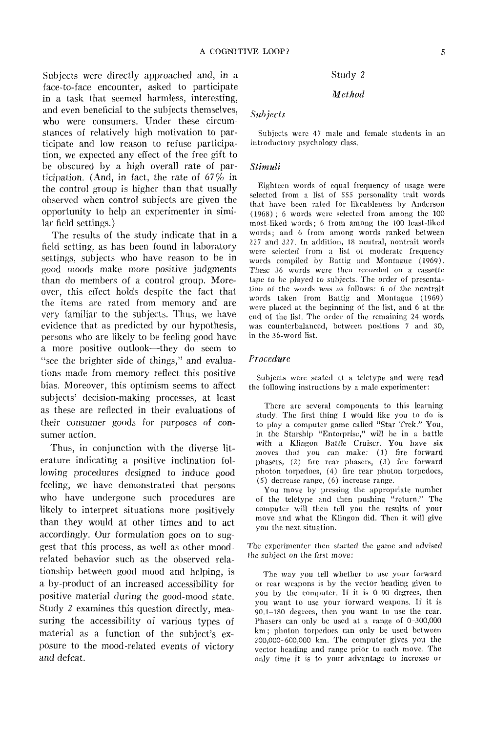Subjects were directly approached and, in a face-to-face encounter, asked to participate in a task that seemed harmless, interesting, and even beneficial to the subjects themselves, who were consumers. Under these circumstances of relatively high motivation to participate and low reason to refuse participation, we expected any effect of the free gift to be obscured by a high overall rate of participation. (And, in fact, the rate of 67% in the control group is higher than that usually observed when control subjects are given the opportunity to help an experimenter in similar field settings.)

The results of the study indicate that in a field setting, as has been found in laboratory settings, subjects who have reason to be in good moods make more positive judgments than do members of a control group. Moreover, this effect holds despite the fact that the items are rated from memory and are very familiar to the subjects. Thus, we have evidence that as predicted by our hypothesis, persons who are likely to be feeling good have a more positive outlook—they do seem to "see the brighter side of things," and evaluations made from memory reflect this positive bias. Moreover, this optimism seems to affect subjects' decision-making processes, at least as these are reflected in their evaluations of their consumer goods for purposes of consumer action.

Thus, in conjunction with the diverse literature indicating a positive inclination following procedures designed to induce good feeling, we have demonstrated that persons who have undergone such procedures are likely to interpret situations more positively than they would at other times and to act accordingly. Our formulation goes on to suggest that this process, as well as other moodrelated behavior such as the observed relationship between good mood and helping, is a by-product of an increased accessibility for positive material during the good-mood state. Study 2 examines this question directly, measuring the accessibility of various types of material as a function of the subject's exposure to the mood-related events of victory and defeat.

#### Study 2

### *Method*

#### *Subjects*

Subjects were 47 male and female students in an introductory psychology class.

#### *Stimuli*

Eighteen words of equal frequency of usage were selected from a list of 555 personality trait words that have been rated for likeablencss by Anderson (1968) ; 6 words were selected from among the 100 most-liked words; 6 from among the 100 least-liked words; and 6 from among words ranked between 227 and 327. In addition, 18 neutral, nontrait words were selected from a list of moderate frequency words compiled by Battig and Montague (1969). These 36 words were then recorded on a cassette tape to he played to subjects. The order of presentation of the words was as follows: 6 of the nontrait words taken from Battig and Montague (1969) were placed at the beginning of the list, and 6 at the end of the list. The order of the remaining 24 words was counterbalanced, between positions 7 and 30, in the 36-word list.

#### *Procedure*

Subjects were seated at a teletype and were read the following instructions by a male experimenter:

There are several components to this learning study. The first thing I would like you to do is to play a computer game called "Star Trek." You, in the Starship "Enterprise," will he in a battle with a Klingon Battle Cruiser. You have six moves that you can make: (1) fire forward phasers, (2) fire rear phasers, (3) fire forward photon torpedoes, (4) fire rear photon torpedoes, (5) decrease range, (6) increase range.

You move by pressing the appropriate number of the teletype and then pushing "return." The computer will then tell you the results of your move and what the Klingon did. Then it will give you the next situation.

The experimenter then started the game and advised the subject on the first move:

The way you tell whether to use your forward or rear weapons is by the vector heading given to you by the computer. If it is 0-90 degrees, then you want to use your forward weapons. If it is 90.1-480 degrees, then you want to use the rear. Phasers can only be used at a range of 0-300,000 km; photon torpedoes can only be used between 200,000-600,000 km. The computer gives you the vector heading and range prior to each move. The only time it is to your advantage to increase or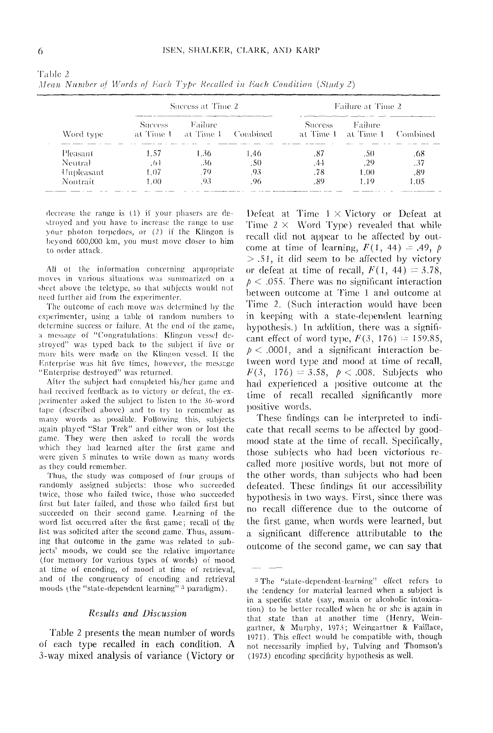| Word type  | Success at Time 2 |                                         | Failure at Time 2 |          |                                         |     |
|------------|-------------------|-----------------------------------------|-------------------|----------|-----------------------------------------|-----|
|            | Success:          | Failure<br>at Time 1 at Time 1 Combined |                   | Success. | Failure<br>at Time 1 at Time 1 Combined |     |
| Pleasant   | 1.57              | 1.36                                    | 1.46              | .87      | -50                                     | .68 |
| Neutral    | (0.1)             | .36                                     | .50               | $.4-1$   | .29                                     | .37 |
| Unpleasant | L 07              | -70                                     | .93               | .78      | 1.00                                    | .89 |
| Nontrait   | 100               | .93                                     | .96               | .89      | 1 1 O                                   | L05 |

Table 2 Mean Number of Words of Each Type Recalled in Each Condition (Study 2)

decrease the range is (1) if your phascrs arc destroyed and yon have to increase the range to use your photon torpedoes, or (2) if the Klingon is beyond 600,000 km, you must move closer to him to order attack.

All oi the information concerning appropriate moves in various situations was summarized on a sheet above the teletype, so that subjects would not need further aid from the experimenter.

The outcome of each move was determined by the experimenter, using a table of random numbers to determine success or failure. At the end of the game, a message of "Congratulations: Klingon vessel destroyed" was typed back to the subject if five or more hits were made on the Klingon vessel. Jf the Enterprise was hit five times, however, the message "Enterprise destroyed" was returned.

After the subject had completed his/her game and had received feedback as to victory or defeat, the experimenter asked the subject to listen to the 36-word tape (described above) and to try to remember as many words as possible. Following this, subjects again played "Star Trek" and either won or lost the game. They were then asked to recall the words which they had learned after the first game and were given S minutes to write down as many words as they could remember.

Thus, the study was composed of four groups of randomly assigned subjects: those who succeeded twice, those who failed twice, those who succeeded first but later failed, and those who failed first but succeeded on their second game. Learning of the word list occurred after the first game; recall of the list was solicited after the second game. Thus, assuming that outcome in the game was related to subjects' moods, we could see the relative importance (for memory for various types of words) of mood at time of encoding, of mood at time of retrieval, and of the congrucncy of encoding and retrieval moods (the "state-dependent learning"  $\frac{3}{7}$  paradigm).

#### *Results and Discussion*

Table 2 presents the mean number of words of each type recalled in each condition. A 3-way mixed analysis of variance (Victory or Defeat at Time  $1 \times$  Victory or Defeat at Time  $2 \times$  Word Type) revealed that while recall did not appear to be affected by outcome at time of learning,  $F(1, 44) = .49, p$  $> .51$ , it did seem to be affected by victory or defeat at time of recall,  $F(1, 44) = 3.78$ ,  $p < .055$ . There was no significant interaction between outcome at Time 1 and outcome at Time 2. (Such interaction would have been in keeping with a state-dependent learning hypothesis.) In addition, there was a significant effect of word type,  $F(3, 176) = 159.85$ ,  $p < .0001$ , and a significant interaction between word type and mood at time of recall,  $F(3, 176) = 3.58, p < .008$ . Subjects who had experienced a positive outcome at the time of recall recalled significantly more positive words.

These findings can be interpreted to indicate that recall seems to be affected by goodmood state at the time of recall. Specifically, those subjects who had been victorious recalled more positive words, but not more of the other words, than subjects who had been defeated. These findings fit our accessibility hypothesis in two ways. First, since there was no recall difference due to the outcome of the first game, when words were learned, but a significant difference attributable to the outcome of the second game, we can say that

<sup>&</sup>lt;sup>3</sup> The "state-dependent-learning" effect refers to the tendency for material learned when a subject is in a specific state (say, mania or alcoholic intoxication) to be better recalled when he or she is again in that state than at another time (Henry, Weingartner, & Murphy, 1973; Weingartner & Faillace, 1971). This effect would be compatible with, though not necessarily implied by, Tulving and Thomson's (1973) encoding specificity hypothesis as well.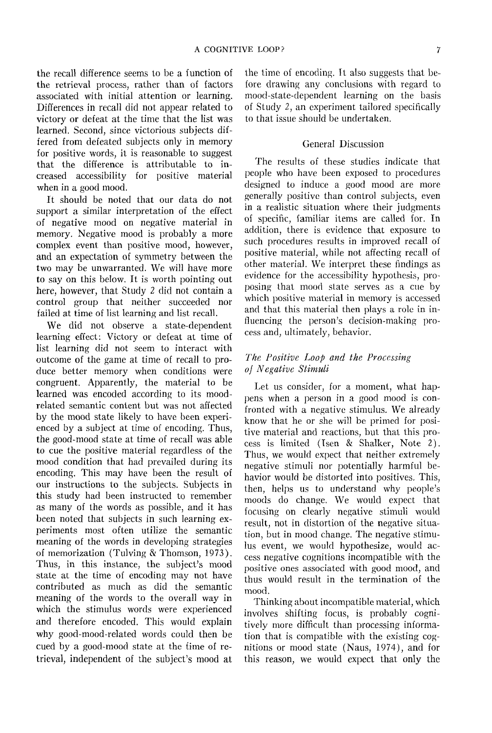the recall difference seems to be a function of the retrieval process, rather than of factors associated with initial attention or learning. Differences in recall did not appear related to victory or defeat at the time that the list was learned. Second, since victorious subjects differed from defeated subjects only in memory for positive words, it is reasonable to suggest that the difference is attributable to increased accessibility for positive material when in a good mood.

It should be noted that our data do not support a similar interpretation of the effect of negative mood on negative material in memory. Negative mood is probably a more complex event than positive mood, however, and an expectation of symmetry between the two may be unwarranted. We will have more to say on this below. It is worth pointing out here, however, that Study 2 did not contain a control group that neither succeeded nor failed at time of list learning and list recall.

We did not observe a state-dependent learning effect: Victory or defeat at time of list learning did not seem to interact with outcome of the game at time of recall to produce better memory when conditions were congruent. Apparently, the material to be learned was encoded according to its moodrelated semantic content but was not affected by the mood state likely to have been experienced by a subject at time of encoding. Thus, the good-mood state at time of recall was able to cue the positive material regardless of the mood condition that had prevailed during its encoding. This may have been the result of our instructions to the subjects. Subjects in this study had been instructed to remember as many of the words as possible, and it has been noted that subjects in such learning experiments most often utilize the semantic meaning of the words in developing strategies of memorization (Tulving & Thomson, 1973). Thus, in this instance, the subject's mood state at the time of encoding may not have contributed as much as did the semantic meaning of the words to the overall way in which the stimulus words were experienced and therefore encoded. This would explain why good-mood-related words could then be cued by a good-mood state at the time of retrieval, independent of the subject's mood at the time of encoding. It also suggests that before drawing any conclusions with regard to mood-state-dependent learning on the basis of Study 2, an experiment tailored specifically to that issue should be undertaken.

# General Discussion

The results of these studies indicate that people who have been exposed to procedures designed to induce a good mood are more generally positive than control subjects, even in a realistic situation where their judgments of specific, familiar items are called for. In addition, there is evidence that exposure to such procedures results in improved recall of positive material, while not affecting recall of other material. We interpret these findings as evidence for the accessibility hypothesis, proposing that mood state serves as a cue by which positive material in memory is accessed and that this material then plays a role in influencing the person's decision-making process and, ultimately, behavior.

# *The, Positive Loop and the Processing of Negative Stimuli*

Let us consider, for a moment, what happens when a person in a good mood is confronted with a negative stimulus. We already know that he or she will be primed for positive material and reactions, but that this process is limited (Tsen & Shalker, Note 2). Thus, we would expect that neither extremely negative stimuli nor potentially harmful behavior would be distorted into positives. This, then, helps us to understand why people's moods do change. We would expect that focusing on clearly negative stimuli would result, not in distortion of the negative situation, but in mood change. The negative stimulus event, we would hypothesize, would access negative cognitions incompatible with the positive ones associated with good mood, and thus would result in the termination of the mood.

Thinking about incompatible material, which involves shifting focus, is probably cognitively more difficult than processing information that is compatible with the existing cognitions or mood state (Naus, 1974), and for this reason, we would expect that only the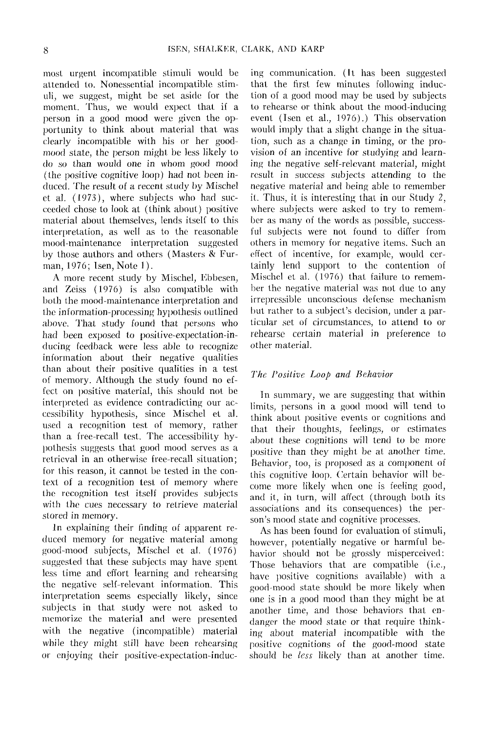most urgent incompatible stimuli would be attended to. Nonessential incompatible stimuli, we suggest, might be set aside [or the moment. Thus, we would expect that if a person in a good mood were given the opportunity to think about material that was clearly incompatible with his or her goodmood state, the person might be less likely to do so than would one in whom good mood (the positive cognitive loop) had not been induced. The result of a recent study by Mischel ct al. (1973), where subjects who had succeeded chose to look at (think about) positive material about themselves, lends itself to this interpretation, as well as to the reasonable mood-maintenance interpretation suggested by those authors and others (Masters & Furman, 1976; Isen, Note 1).

A more recent study by Mischel, Ebbesen, and Zeiss (1976) is also compatible with both the mood-maintenance interpretation and the information-processing hypothesis outlined above. That study found that persons who had been exposed to positive-expectation-inducing feedback were less able to recognize information about their negative qualities than about their positive qualities in a test of memory. Although the study found no effect on positive material, this should not be interpreted as evidence contradicting our accessibility hypothesis, since Mischel et al. used a recognition test of memory, rather than a free-recall test. The accessibility hypothesis suggests that good mood serves as a retrieval in an otherwise free-recall situation; for this reason, it cannot be tested in the context of a recognition test of memory where the recognition test itself provides subjects with the cues necessary to retrieve material stored in memory.

In explaining their finding of apparent reduced memory for negative material among good-mood subjects, Mischel ct al. (1976) suggested that these subjects may have spent less time and effort learning and rehearsing the negative self-relevant information. This interpretation seems especially likely, since subjects in that study were not asked to memorize the material and were presented with the negative (incompatible) material while they might still have been rehearsing or enjoying their positive-expectation-inducing communication. (It has been suggested that the first few minutes following induction of a good mood may be used by subjects to rehearse or think about the mood-inducing event (Isen et al., 1976).) This observation would imply that a slight change in the situation, such as a change in timing, or the provision of an incentive for studying and learning the negative self-relevant material, might result in success subjects attending to the negative material and being able to remember it. Thus, it is interesting that in our Study 2, where subjects were asked to try to remember as many of the words as possible, successful subjects were not found to differ from others in memory for negative items. Such an effect of incentive, for example, would certainly lend support to the contention of Mischel et al. (1976) that failure to remember the negative material was not due to any irrepressible unconscious defense mechanism but rather to a subject's decision, under a particular set of circumstances, to attend to or rehearse certain material in preference to other material.

#### *The Positive Loop and Behavior*

In summary, we are suggesting that within limits, persons in a good mood will tend to think about positive events or cognitions and that their thoughts, feelings, or estimates about these cognitions will tend to be more positive than they might be at another time. Behavior, too, is proposed as a component of this cognitive loop. Certain behavior will become more likely when one is feeling good, and it, in turn, will affect (through both its associations and its consequences) the person's mood state and cognitive processes.

As has been found for evaluation of stimuli, however, potentially negative or harmful behavior should not be grossly misperceived: Those behaviors that are compatible (i.e., have positive cognitions available) with a good-mood state should be more likely when one is in a good mood than they might be at another time, and those behaviors that endanger the mood state or that require thinking about material incompatible with the positive cognitions of the good-mood state should be *less* likely than at another time.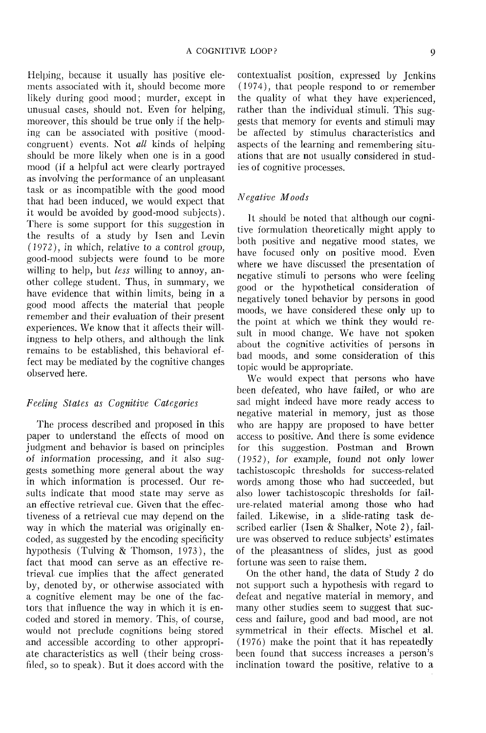Helping, because it usually has positive elements associated with it, should become more likely during good mood; murder, except in unusual cases, should not. Even for helping, moreover, this should be true only if the helping can be associated with positive (moodcongruent) events. Not *all* kinds of helping should be more likely when one is in a good mood (if a helpful act were clearly portrayed as involving the performance of an unpleasant task or as incompatible with the good mood that had been induced, we would expect that it would be avoided by good-mood subjects). There is some support for this suggestion in the results of a study by Tsen and Levin (1972), in which, relative to a control group, good-mood subjects were found to be more willing to help, but *less* willing to annoy, another college student. Thus, in summary, we have evidence that within limits, being in a good mood affects the material that people remember and their evaluation of their present experiences. We know that it affects their willingness to help others, and although the link remains to be established, this behavioral effect may be mediated by the cognitive changes observed here.

#### *Feeling States as Cognitive Categories*

The process described and proposed in this paper to understand the effects of mood on judgment and behavior is based on principles of information processing, and it also suggests something more general about the way in which information is processed. Our results indicate that mood state may serve as an effective retrieval cue. Given that the effectiveness of a retrieval cue may depend on the way in which the material was originally encoded, as suggested by the encoding specificity hypothesis (Tulving & Thomson, 1973), the fact that mood can serve as an effective retrieval cue implies that the affect generated by, denoted by, or otherwise associated with a cognitive element may be one of the factors that influence the way in which it is encoded and stored in memory. This, of course, would not preclude cognitions being stored and accessible according to other appropriate characteristics as well (their being crossfiled, so to speak). But it does accord with the

contextualist position, expressed by Jenkins (1974), that people respond to or remember the quality of what they have experienced, rather than the individual stimuli. This suggests that memory for events and stimuli may be affected by stimulus characteristics and aspects of the learning and remembering situations that are not usually considered in studies of cognitive processes.

# *Negative Moods*

It should be noted that although our cognitive formulation theoretically might apply to both positive and negative mood states, we have focused only on positive mood. Even where we have discussed the presentation of negative stimuli to persons who were feeling good or the hypothetical consideration of negatively toned behavior by persons in good moods, we have considered these only up to the point at which we think they would result in mood change. We have not spoken about, the cognitive activities of persons in bad moods, and some consideration of this topic would be appropriate.

We would expect that persons who have been defeated, who have failed, or who are sad might indeed have more ready access to negative material in memory, just as those who are happy are proposed to have better access to positive. And there is some evidence for this suggestion. Postman and Brown (1952), for example, found not only lower tachistoscopic thresholds for success-related words among those who had succeeded, but also lower tachistoscopic thresholds for failure-related material among those who had failed. Likewise, in a slide-rating task described earlier (Isen & Shalker, Note 2), failure was observed to reduce subjects' estimates of the pleasantness of slides, just as good fortune was seen to raise them.

On the other hand, the data of Study 2 do not support such a hypothesis with regard to defeat and negative material in memory, and many other studies seem to suggest that success and failure, good and bad mood, are not symmetrical in their effects. Mischel et al. (1976) make the point that it has repeatedly been found that success increases a person's inclination toward the positive, relative to a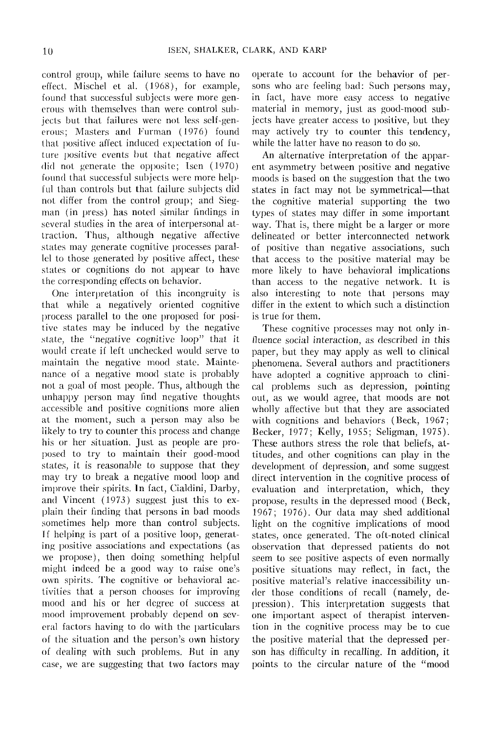control group, while failure seems to have no effect. Mischel et al. (1968), for example, found that successful subjects were more generous with themselves than were control subjects but that failures were not less self-generous; Masters and Furman (1976) found that positive affect induced expectation of future positive events but that negative affect did not generate the opposite; Isen (1970) found that successful subjects were more helpful than controls but that failure subjects did not differ from the control group; and Siegman (in press) has noted similar findings in several studies in the area of interpersonal attraction. Thus, although negative affective states may generate cognitive processes parallel to those generated by positive affect, these states or cognitions do not appear to have the corresponding effects on behavior.

One interpretation of this incongruity is that while a negatively oriented cognitive process parallel to the one proposed for positive states may be induced by the negative state, the "negative cognitive loop" that it would create if left unchecked would serve to maintain the negative mood state. Maintenance of a negative mood state is probably not a goal of most people. Thus, although the unhappy person may find negative thoughts accessible and positive cognitions more alien at the moment, such a person may also be likely to try to counter this process and change his or her situation. Just as people are proposed to try to maintain their good-mood states, it is reasonable to suppose that they may try to break a negative mood loop and improve their spirits. In fact, Cialdini, Darby, and Vincent (1973) suggest just this to explain their finding that persons in bad moods sometimes help more than control subjects. If helping is part of a positive loop, generating positive associations and expectations (as we propose), then doing something helpful might indeed be a good way to raise one's own spirits. The cognitive or behavioral activities that a person chooses for improving mood and his or her degree of success at mood improvement probably depend on several factors having to do with the particulars of the situation and the person's own history of dealing with such problems. But in any case, we are suggesting that two factors may operate to account for the behavior of persons who arc feeling bad: Such persons may, in fact, have more easy access to negative material in memory, just as good-mood subjects have greater access to positive, but they may actively try to counter this tendency, while the latter have no reason to do so.

An alternative interpretation of the apparent asymmetry between positive and negative moods is based on the suggestion that the two states in fact may not be symmetrical—that the cognitive material supporting the two types of states may differ in some important way. That is, there might be a larger or more delineated or better interconnected network of positive than negative associations, such that access to the positive material may be more likely to have behavioral implications than access to the negative network. It is also interesting to note that persons may differ in the extent to which such a distinction is true for them.

These cognitive processes may not only influence social interaction, as described in this paper, but they may apply as well to clinical phenomena. Several authors and practitioners have adopted a cognitive approach to clinical problems such as depression, pointing out, as we would agree, that moods are not wholly affective but that they are associated with cognitions and behaviors (Beck, 1967; Becker, 1977; Kelly, 1955; Seligman, 1975). These authors stress the role that beliefs, attitudes, and other cognitions can play in the development of depression, and some suggest direct intervention in the cognitive process of evaluation and interpretation, which, they propose, results in the depressed mood (Beck, 1967; 1976). Our data may shed additional light on the cognitive implications of mood states, once generated. The oft-noted clinical observation that depressed patients do not seem to see positive aspects of even normally positive situations may reflect, in fact, the positive material's relative inaccessibility under those conditions of recall (namely, depression). This interpretation suggests that one important aspect of therapist intervention in the cognitive process may be to cue the positive material that the depressed person has difficulty in recalling. In addition, it points to the circular nature of the "mood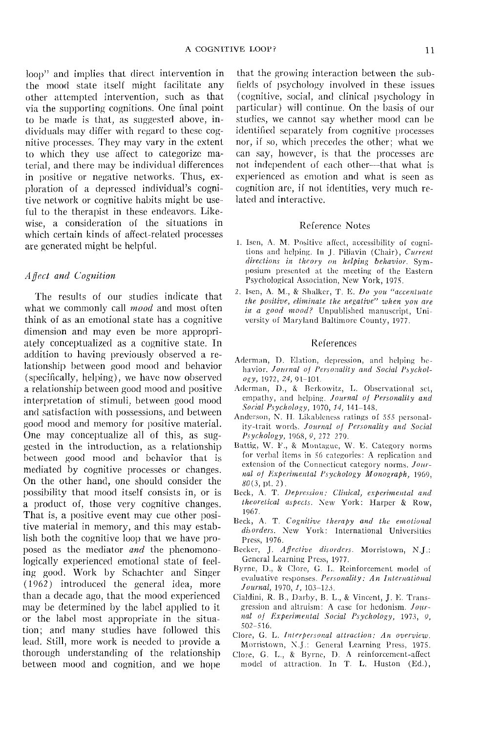loop" and implies that direct intervention in the mood state itself might facilitate any other attempted intervention, such as that via the supporting cognitions. One final point to be made is that, as suggested above, individuals may differ with regard to these cognitive processes. They may vary in the extent to which they use affect to categorize material, and there may be individual differences in positive or negative networks. Thus, exploration of a depressed individual's cognitive network or cognitive habits might be useful to the therapist in these endeavors. Likewise, a consideration of the situations in which certain kinds of affect-related processes are generated might be helpful.

# *Affect and Cognition*

The results of our studies indicate that what we commonly call *mood* and most often think of as an emotional state has a cognitive dimension and may even be more appropriately conceptualized as a cognitive state. In addition to having previously observed a relationship between good mood and behavior (specifically, helping), we have now observed a relationship between good mood and positive interpretation of stimuli, between good mood and satisfaction with possessions, and between good mood and memory for positive material. One may conceptualize all of this, as suggested in the introduction, as a relationship between good mood and behavior that is mediated by cognitive processes or changes. On the other hand, one should consider the possibility that mood itself consists in, or is a product of, those very cognitive changes. That is, a positive event may cue other positive material in memory, and this may establish both the cognitive loop that we have proposed as the mediator and the phenomonologically experienced emotional state of feeling good. Work by Schachter and Singer (1962) introduced the general idea, more than a decade ago, that the mood experienced may be determined by the label applied to it or the label most appropriate in the situation; and many studies have followed this lead. Still, more work is needed to provide a thorough understanding of the relationship between mood and cognition, and we hope

that the growing interaction between the subfields of psychology involved in these issues (cognitive, social, and clinical psychology in particular) will continue. On the basis of our studies, we cannot say whether mood can be identified separately from cognitive processes nor, if so, which precedes the other; what we can say, however, is that the processes are not independent of each other—that what is experienced as emotion and what is seen as cognition are, if not identities, very much related and interactive.

#### Reference Notes

- 1. Isen, A. M. Positive affect, accessibility of cognitions and helping. In J. Piliavin (Chair), *Current directions in theory on helping behavior.* Symposium presented at the meeting of the Eastern Psychological Association, New York, 1975.
- 2. Isen, A. M., & Shalkcr, T. E. *Do you "accentuate the positive, eliminate the. negative" when yon are in a good mood?* Unpublished manuscript, University of Maryland Baltimore County, 1977.

#### References

- Aderman, D. Elation, depression, and helping behavior. *Journal oj Personality and Social Psychology,* 1972, *24,* 91-101.
- Aderman, D., & Berkowitz, L. Observational set, empathy, and helping. *Journal oj Personality and Social Psychology,* 1970, *14,* 141-148.
- Anderson, N. II. Likableness ratings of 555 personality-trait words. *Journal oj Personality and Social Psychology,* 1968, *0,* 272 279.
- Battig, W. F., & Montague, W. E. Category norms for verbal items in 56 categories: A replication and extension of the Connecticut category norms. *Journal of Experimental Psychology Monograph,* 1969,  $80(3, pt. 2)$ .
- Beck, A. T. *Depression: Clinical, experimental and theoretical aspects.* New York: Harper & Row, 1967.
- Beck, A. T. *Cognitive therapy and the emotional disorders.* New York: International Universities Press, 1976.
- Becker, J. Affective disorders. Morristown, N.J.: General Learning Press, 1977.
- Byrne, D., & Clore, G. L. Reinforcement model of evaluative responses. *Personality: An International Journal*, 1970, 1, 103-123.
- Cialdini, R. B., Darby, B. L., & Vincent, J. E. Transgression and altruism: A case for hedonism. *Journal oj Experimental Social Psychology,* 1973, *9,* 502-516.
- Clore, G. L. *Interpersonal attraction: An overview.* Morrislown, X.J.: General Learning Press, 1975.
- Clore, G. L., & Byrne, I). A reinforcement-affect model of attraction. In T. L. Huston (Ed.),